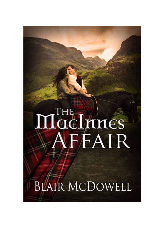# THE THINES

**BLAIR MCDOWELL**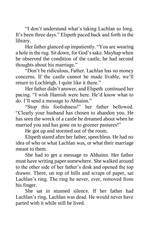"I don't understand what's taking Lachlan so long. It's been three days." Elspeth paced back and forth in the library.

Her father glanced up impatiently. "You are wearing a hole in the rug. Sit down, for God's sake. Mayhap when he observed the condition of the castle, he had second thoughts about his marriage."

"Don't be ridiculous, Father. Lachlan has no money concerns. If the castle cannot be made livable, we'll return to Lochleigh. I quite like it there."

Her father didn't answer, and Elspeth continued her pacing. "I wish Hamish were here. He'd know what to do. I'll send a message to Abhainn."

"Stop this foolishness!" her father bellowed. "Clearly your husband has chosen to abandon you. He has seen the wreck of a castle he dreamed about when he married you and has gone on to greener pastures!"

He got up and stormed out of the room.

Elspeth stared after her father, speechless. He had no idea of who or what Lachlan was, or what their marriage meant to them.

She had to get a message to Abhainn. Her father must have writing paper somewhere. She walked around to the other side of her father's desk and opened the top drawer. There, on top of bills and scraps of paper, sat Lachlan's ring. The ring he never, ever, removed from his finger.

She sat in stunned silence. If her father had Lachlan's ring, Lachlan was dead. He would never have parted with it while still he lived.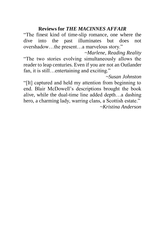### **Reviews for** *THE MACINNES AFFAIR*

"The finest kind of time-slip romance, one where the dive into the past illuminates but does not overshadow…the present…a marvelous story."

*~Marlene, Reading Reality*  "The two stories evolving simultaneously allows the reader to leap centuries. Even if you are not an Outlander fan, it is still…entertaining and exciting."

*~Susan Johnston* 

"[It] captured and held my attention from beginning to end. Blair McDowell's descriptions brought the book alive, while the dual-time line added depth…a dashing hero, a charming lady, warring clans, a Scottish estate."

*~Kristina Anderson*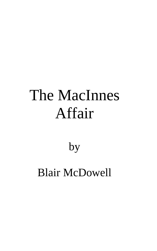# The MacInnes Affair

## by

# Blair McDowell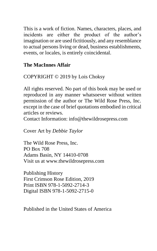This is a work of fiction. Names, characters, places, and incidents are either the product of the author's imagination or are used fictitiously, and any resemblance to actual persons living or dead, business establishments, events, or locales, is entirely coincidental.

### **The MacInnes Affair**

COPYRIGHT © 2019 by Lois Choksy

All rights reserved. No part of this book may be used or reproduced in any manner whatsoever without written permission of the author or The Wild Rose Press, Inc. except in the case of brief quotations embodied in critical articles or reviews.

Contact Infor[mation: info@thewildrosepress.com](mailto:info@thewildrosepress.com)

Cover Art by *Debbie Taylor*

The Wild Rose Press, Inc. PO Box 708 Adams Basin, NY 14410-0708 Visit us at [www.thewildrosepress.com](http://www.thewildrosepress.com/)

Publishing History First Crimson Rose Edition, 2019 Print ISBN 978-1-5092-2714-3 Digital ISBN 978-1-5092-2715-0

Published in the United States of America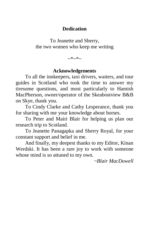### **Dedication**

To Jeanette and Sherry, the two women who keep me writing

~\*~\*~

### **Acknowledgements**

To all the innkeepers, taxi drivers, waiters, and tour guides in Scotland who took the time to answer my tiresome questions, and most particularly to Hamish MacPherson, owner/operator of the Skeabostview B&B on Skye, thank you.

To Cindy Clarke and Cathy Lesperance, thank you for sharing with me your knowledge about horses.

To Peter and Mairi Blair for helping us plan our research trip to Scotland.

To Jeanette Panagapka and Sherry Royal, for your constant support and belief in me.

And finally, my deepest thanks to my Editor, Kinan Werdski. It has been a rare joy to work with someone whose mind is so attuned to my own.

*~Blair MacDowell*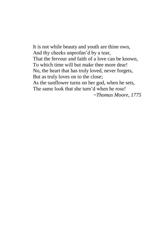It is not while beauty and youth are thine own, And thy cheeks unprofan'd by a tear, That the fervour and faith of a love can be known, To which time will but make thee more dear! No, the heart that has truly loved, never forgets, But as truly loves on to the close; As the sunflower turns on her god, when he sets, The same look that she turn'd when he rose! *~Thomas Moore, 1775*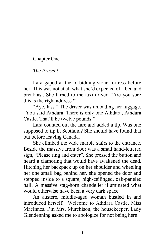### Chapter One

### *The Present*

Lara gaped at the forbidding stone fortress before her. This was not at all what she'd expected of a bed and breakfast. She turned to the taxi driver. "Are you sure this is the right address?"

"Aye, lass." The driver was unloading her luggage. "You said Athdara. There is only one Athdara, Athdara Castle. That'll be twelve pounds."

Lara counted out the fare and added a tip. Was one supposed to tip in Scotland? She should have found that out before leaving Canada.

She climbed the wide marble stairs to the entrance. Beside the massive front door was a small hand-lettered sign, "Please ring and enter". She pressed the button and heard a clamoring that would have awakened the dead. Hitching her backpack up on her shoulder and wheeling her one small bag behind her, she opened the door and stepped inside to a square, high-ceilinged, oak-paneled hall. A massive stag-horn chandelier illuminated what would otherwise have been a very dark space.

An austere, middle-aged woman bustled in and introduced herself. "Welcome to Athdara Castle, Miss MacInnes. I'm Mrs. Murchison, the housekeeper. Lady Glendenning asked me to apologize for not being here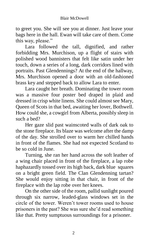to greet you. She will see you at dinner. Just leave your bags here in the hall. Ewan will take care of them. Come this way, please."

Lara followed the tall, dignified, and rather forbidding Mrs. Murchison, up a flight of stairs with polished wood bannisters that felt like satin under her touch, down a series of a long, dark corridors lined with portraits. Past Glendennings? At the end of the hallway, Mrs. Murchison opened a door with an old-fashioned brass key and stepped back to allow Lara to enter.

Lara caught her breath. Dominating the tower room was a massive four poster bed draped in plaid and dressed in crisp white linens. She could almost see Mary, Queen of Scots in that bed, awaiting her lover, Bothwell. How could she, a cowgirl from Alberta, possibly sleep in such a bed?

Her gaze slid past wainscoted walls of dark oak to the stone fireplace. Its blaze was welcome after the damp of the day. She strolled over to warm her chilled hands in front of the flames. She had not expected Scotland to be so cold in June.

Turning, she ran her hand across the soft leather of a wing chair placed in front of the fireplace, a lap robe haphazardly tossed over its high back, dark blue squares on a bright green field. The Clan Glendenning tartan? She would enjoy sitting in that chair, in front of the fireplace with the lap robe over her knees.

On the other side of the room, pallid sunlight poured through six narrow, leaded-glass windows set in the circle of the tower. Weren't tower rooms used to house prisoners in the past? She was sure she'd read something like that. Pretty sumptuous surroundings for a prisoner.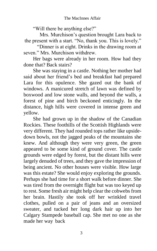"Will there be anything else?"

Mrs. Murchison's question brought Lara back to the present with a start. "No, thank you. This is lovely."

"Dinner is at eight. Drinks in the drawing room at seven." Mrs. Murchison withdrew.

Her bags were already in her room. How had they done that? Back stairs?

She was staying in a castle. Nothing her mother had said about her friend's bed and breakfast had prepared Lara for this opulence. She gazed out the bank of windows. A manicured stretch of lawn was defined by boxwood and low stone walls, and beyond the walls, a forest of pine and birch beckoned enticingly. In the distance, high hills were covered in intense green and yellow.

She had grown up in the shadow of the Canadian Rockies. These foothills of the Scottish Highlands were very different. They had rounded tops rather like upsidedown bowls, not the jagged peaks of the mountains she knew. And although they were very green, the green appeared to be some kind of ground cover. The castle grounds were edged by forest, but the distant hills were largely denuded of trees, and they gave the impression of being ancient. No other houses were visible. How large was this estate? She would enjoy exploring the grounds. Perhaps she had time for a short walk before dinner. She was tired from the overnight flight but was too keyed up to rest. Some fresh air might help clear the cobwebs from her brain. Hastily she took off her wrinkled travel clothes, pulled on a pair of jeans and an oversized sweater, and tucked her long dark hair up into her Calgary Stampede baseball cap. She met no one as she made her way back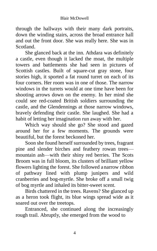through the hallways with their many dark portraits, down the winding stairs, across the broad entrance hall and out the front door. She was really here. She was in Scotland.

She glanced back at the inn. Athdara was definitely a castle, even though it lacked the moat, the multiple towers and battlements she had seen in pictures of Scottish castles. Built of square-cut gray stone, four stories high, it sported a fat round turret on each of its four corners. Her room was in one of those. The narrow windows in the turrets would at one time have been for shooting arrows down on the enemy. In her mind she could see red-coated British soldiers surrounding the castle, and the Glendennings at those narrow windows, bravely defending their castle. She laughed. She had a habit of letting her imagination run away with her.

Which way should she go? She stood and gazed around her for a few moments. The grounds were beautiful, but the forest beckoned her.

Soon she found herself surrounded by trees, fragrant pine and slender birches and feathery rowan trees mountain ash—with their shiny red berries. The Scots Broom was in full bloom, its clusters of brilliant yellow flowers lighting the forest. She followed a narrow ribbon of pathway lined with plump junipers and wild cranberries and bog-myrtle. She broke off a small twig of bog myrtle and inhaled its bitter-sweet scent.

Birds chattered in the trees. Ravens? She glanced up as a heron took flight, its blue wings spread wide as it soared out over the treetops.

Entranced, she continued along the increasingly rough trail. Abruptly, she emerged from the wood to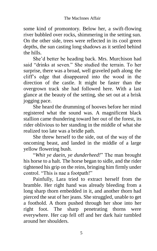some kind of promontory. Below her, a swift-flowing river bubbled over rocks, shimmering in the setting sun. On the other side, trees were reflected in its cool green depths, the sun casting long shadows as it settled behind the hills.

She'd better be heading back. Mrs. Murchison had said "drinks at seven." She studied the terrain. To her surprise, there was a broad, well graveled path along the cliff's edge that disappeared into the wood in the direction of the castle. It might be faster than the overgrown track she had followed here. With a last glance at the beauty of the setting, she set out at a brisk jogging pace.

She heard the drumming of hooves before her mind registered what the sound was. A magnificent black stallion came thundering toward her out of the forest, its rider oblivious to her standing in the middle of what she realized too late was a bridle path.

She threw herself to the side, out of the way of the oncoming beast, and landed in the middle of a large yellow flowering bush.

"*Whit ye daein*, *ye dunderheed!*" The man brought his horse to a halt. The horse began to sidle, and the rider tightened his grip on the reins, bringing him firmly under control. "This is nae a footpath!"

Painfully, Lara tried to extract herself from the bramble. Her right hand was already bleeding from a long sharp thorn embedded in it, and another thorn had pierced the seat of her jeans. She struggled, unable to get a foothold. A thorn pushed through her shoe into her right foot. The sharp penetrating thorns were everywhere. Her cap fell off and her dark hair tumbled around her shoulders.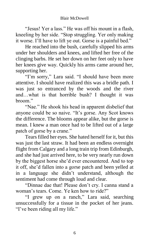"Jesus! Yer a lass." He was off his mount in a flash, kneeling by her side. "Stop struggling. Yer only making it worse. I'll have to lift ye out. Gorse is a painful bed."

He reached into the bush, carefully slipped his arms under her shoulders and knees, and lifted her free of the clinging barbs. He set her down on her feet only to have her knees give way. Quickly his arms came around her, supporting her.

"I'm sorry," Lara said. "I should have been more attentive. I should have realized this was a bridle path. I was just so entranced by the woods and the river and…what is that horrible bush? I thought it was broom."

"Nae." He shook his head in apparent disbelief that anyone could be so naive. "It's gorse. Any Scot knows the difference. The blooms appear alike, but the gorse is mean. I knew a man once had to be lifted out of a large patch of gorse by a crane."

Tears filled her eyes. She hated herself for it, but this was just the last straw. It had been an endless overnight flight from Calgary and a long train trip from Edinburgh, and she had just arrived here, to be very nearly run down by the biggest horse she'd ever encountered. And to top it off, she'd fallen into a gorse patch and been yelled at in a language she didn't understand, although the sentiment had come through loud and clear.

"Dinnae dae that! Please don't cry. I canna stand a woman's tears. Come. Ye ken how to ride?"

"I grew up on a ranch," Lara said, searching unsuccessfully for a tissue in the pocket of her jeans. "I've been riding all my life."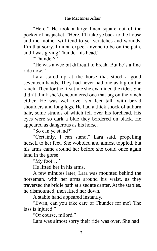"Here." He took a large linen square out of the pocket of his jacket. "Here. I'll take ye back to the house and me mother will tend to yer scratches and wounds. I'm that sorry. I dinna expect anyone to be on the path, and I was giving Thunder his head."

"Thunder?"

"He was a wee bit difficult to break. But he's a fine ride now."

Lara stared up at the horse that stood a good seventeen hands. They had never had one as big on the ranch. Then for the first time she examined the rider. She didn't think she'd encountered one that big on the ranch either. He was well over six feet tall, with broad shoulders and long legs. He had a thick shock of auburn hair, some strands of which fell over his forehead. His eyes were so dark a blue they bordered on black. He appeared as dangerous as his horse.

"So can ye stand?"

"Certainly, I can stand," Lara said, propelling herself to her feet. She wobbled and almost toppled, but his arms came around her before she could once again land in the gorse.

"My foot…"

He lifted her in his arms.

A few minutes later, Lara was mounted behind the horseman, with her arms around his waist, as they traversed the bridle path at a sedate canter. At the stables, he dismounted, then lifted her down.

A stable hand appeared instantly.

"Ewan, can you take care of Thunder for me? The lass is injured."

"Of course, milord."

Lara was almost sorry their ride was over. She had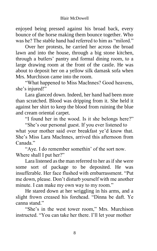enjoyed being pressed against his broad back, every bounce of the horse making them bounce together. Who was he? The stable hand had referred to him as "milord."

Over her protests, he carried her across the broad lawn and into the house, through a big stone kitchen, through a butlers' pantry and formal dining room, to a large drawing room at the front of the castle. He was about to deposit her on a yellow silk damask sofa when Mrs. Murchison came into the room.

"What happened to Miss MacInnes? Good heavens, she's injured!"

Lara glanced down. Indeed, her hand had been more than scratched. Blood was dripping from it. She held it against her shirt to keep the blood from ruining the blue and cream oriental carpet.

"I found her in the wood. Is it she belongs here?"

"She's our personal guest. If you ever listened to what your mother said over breakfast ye'd know that. She's Miss Lara MacInnes, arrived this afternoon from Canada."

"Aye. I do remember somethin' of the sort now. Where shall I put her?"

Lara listened as the man referred to her as if she were some sort of package to be deposited. He was insufferable. Her face flushed with embarrassment. "Put me down, please. Don't disturb yourself with me another minute. I can make my own way to my room."

He stared down at her wriggling in his arms, and a slight frown creased his forehead. "Dinna be daft. Ye canna stand."

"She's in the west tower room," Mrs. Murchison instructed. "You can take her there. I'll let your mother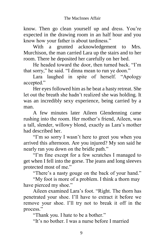know. Then go clean yourself up and dress. You're expected in the drawing room in an half hour and you know how your father is about tardiness."

With a grunted acknowledgement to Mrs. Murchison, the man carried Lara up the stairs and to her room. There he deposited her carefully on her bed.

He headed toward the door, then turned back. "I'm that sorry," he said. "I dinna mean to run ye doon."

Lara laughed in spite of herself. "Apology accepted."

Her eyes followed him as he beat a hasty retreat. She let out the breath she hadn't realized she was holding. It was an incredibly sexy experience, being carried by a man.

A few minutes later Aileen Glendenning came rushing into the room. Her mother's friend, Aileen, was a tall, slender, willowy blond, exactly as Lara's mother had described her.

"I'm so sorry I wasn't here to greet you when you arrived this afternoon. Are you injured? My son said he nearly ran you down on the bridle path."

"I'm fine except for a few scratches I managed to get when I fell into the gorse. The jeans and long sleeves protected most of me."

"There's a nasty gouge on the back of your hand."

"My foot is more of a problem. I think a thorn may have pierced my shoe."

Aileen examined Lara's foot. "Right. The thorn has penetrated your shoe. I'll have to extract it before we remove your shoe. I'll try not to break it off in the process."

"Thank you. I hate to be a bother."

"It's no bother. I was a nurse before I married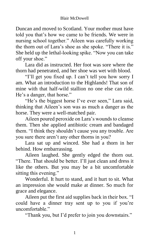Duncan and moved to Scotland. Your mother must have told you that's how we came to be friends. We were in nursing school together." Aileen was carefully working the thorn out of Lara's shoe as she spoke. "There it is." She held up the lethal-looking spike. "Now you can take off your shoe."

Lara did as instructed. Her foot was sore where the thorn had penetrated, and her shoe was wet with blood.

"I'll get you fixed up. I can't tell you how sorry I am. What an introduction to the Highlands! That son of mine with that half-wild stallion no one else can ride. He's a danger, that horse."

"He's the biggest horse I've ever seen," Lara said, thinking that Aileen's son was as much a danger as the horse. They were a well-matched pair.

Aileen poured peroxide on Lara's wounds to cleanse them. Then she applied antibiotic cream and bandaged them. "I think they shouldn't cause you any trouble. Are you sure there aren't any other thorns in you?

Lara sat up and winced. She had a thorn in her behind. How embarrassing.

Aileen laughed. She gently edged the thorn out. "There. That should be better. I'll just clean and dress it like the others. But you may be a bit uncomfortable sitting this evening."

Wonderful. It hurt to stand, and it hurt to sit. What an impression she would make at dinner. So much for grace and elegance.

Aileen put the first aid supplies back in their box. "I could have a dinner tray sent up to you if you're uncomfortable."

"Thank you, but I'd prefer to join you downstairs."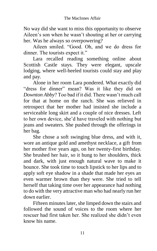No way did she want to miss this opportunity to observe Aileen's son when he wasn't shouting at her or carrying her. Was he always so overpowering?

Aileen smiled. "Good. Oh, and we do dress for dinner. The tourists expect it."

Lara recalled reading something online about Scottish Castle stays. They were elegant, upscale lodging, where well-heeled tourists could stay and play and pay.

Alone in her room Lara pondered. What exactly did "dress for dinner" mean? Was it like they did on *Downton Abby*? Too bad if it did. There wasn't much call for that at home on the ranch. She was relieved in retrospect that her mother had insisted she include a serviceable long skirt and a couple of nice dresses. Left to her own device, she'd have traveled with nothing but jeans and sweaters. She pushed through the offerings in her bag.

She chose a soft swinging blue dress, and with it, wore an antique gold and amethyst necklace, a gift from her mother five years ago, on her twenty-first birthday. She brushed her hair, so it hung to her shoulders, thick and dark, with just enough natural wave to make it bounce. She took time to touch lipstick to her lips and to apply soft eye shadow in a shade that made her eyes an even warmer brown than they were. She tried to tell herself that taking time over her appearance had nothing to do with the very attractive man who had nearly run her down earlier.

Fifteen minutes later, she limped down the stairs and followed the sound of voices to the room where her rescuer had first taken her. She realized she didn't even know his name.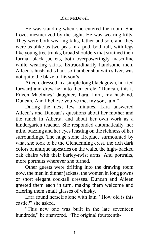He was standing when she entered the room. She froze, mesmerized by the sight. He was wearing kilts. They were both wearing kilts, father and son, and they were as alike as two peas in a pod, both tall, with legs like young tree trunks, broad shoulders that strained their formal black jackets, both overpoweringly masculine while wearing skirts. Extraordinarily handsome men. Aileen's husband's hair, soft amber shot with silver, was not quite the blaze of hisson's.

Aileen, dressed in a simple long black gown, hurried forward and drew her into their circle. "Duncan, this is Eileen MacInnes' daughter, Lara. Lara, my husband, Duncan. And I believe you've met my son, Iain."

During the next few minutes, Lara answered Aileen's and Duncan's questions about her mother and the ranch in Alberta, and about her own work as a kindergarten teacher. She responded automatically, her mind buzzing and her eyes feasting on the richness of her surroundings. The huge stone fireplace surmounted by what she took to be the Glendenning crest, the rich dark colors of antique tapestries on the walls, the high- backed oak chairs with their barley-twist arms. And portraits, more portraits wherever she turned.

Other guests were drifting into the drawing room now, the men in dinner jackets, the women in long gowns or short elegant cocktail dresses. Duncan and Aileen greeted them each in turn, making them welcome and offering them small glasses of whisky.

Lara found herself alone with Iain. "How old is this castle?" she asked.

"This new one was built in the late seventeen hundreds," he answered. "The original fourteenth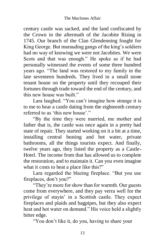century castle was sacked, and the land confiscated by the Crown in the aftermath of the Jacobite Rising in 1745. Our branch of the Clan Glendenning fought for King George. But marauding gangs of the king's soldiers had no way of knowing we were not Jacobites. We were Scots and that was enough." He spoke as if he had personally witnessed the events of some three hundred years ago. "The land was restored to my family in the late seventeen hundreds. They lived in a small stone tenant house on the property until they recouped their fortunes through trade toward the end of the century, and this new house was built."

Lara laughed. "You can't imagine how strange it is to me to hear a castle dating from the eighteenth century referred to as 'this new house'."

"By the time they were married, me mother and father that is, the castle was once again in a pretty bad state of repair. They started working on it a bit at a time, installing central heating and hot water, private bathrooms, all the things tourists expect. And finally, twelve years ago, they listed the property as a Castle-Hotel. The income from that has allowed us to complete the restoration, and to maintain it. Can you even imagine what it costs to heat a place like this?"

Lara regarded the blazing fireplace. "But you use fireplaces, don't you?"

"They're more for show than for warmth. Our guests come from everywhere, and they pay verra well for the privilege of stayin' in a Scottish castle. They expect fireplaces and plaids and bagpipes, but they also expect heat and hot water on demand." His voice held a slightly bitter edge.

"You don't like it, do you, having to share your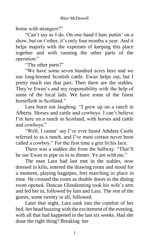home with strangers?"

"Can't say as I do. On one hand I hate puttin' on a show, but on t'other, it's only four months a year. And it helps majorly with the expenses of keeping this place together and with running the other parts of the operation."

"The other parts?"

"We have some seven hundred acres here and we run long-horned Scottish cattle. Ewan helps out, but I pretty much run that part. Then there are the stables. They're Ewan's and my responsibility with the help of some of the local lads. We have some of the finest horseflesh in Scotland."

Lara burst out laughing. "I grew up on a ranch in Alberta. Horses and cattle and cowboys. I can't believe I'm here on a ranch in Scotland, with horses and cattle and cowboys."

"Well, I canna' say I've ever heard Athdara Castle referred to as a ranch, and I've most certain never been called a cowboy." For the first time a grin lit his face.

There was a sudden din from the hallway. "That'll be our Ewan to pipe us in to dinner. Ye are with me."

The man Lara had last met in the stables, now dressed in kilts, entered the drawing room and stood for a moment, playing bagpipes, feet marching in place in time. He crossed the room as double doors to the dining room opened. Duncan Glendenning took his wife's arm and led her in, followed by Iain and Lara. The rest of the guests, some twenty in all, followed.

Later that night, Lara sank into the comfort of her bed, her head buzzing with the excitement of the evening, with all that had happened in the last six weeks. Had she done the right thing? Breaking her

1